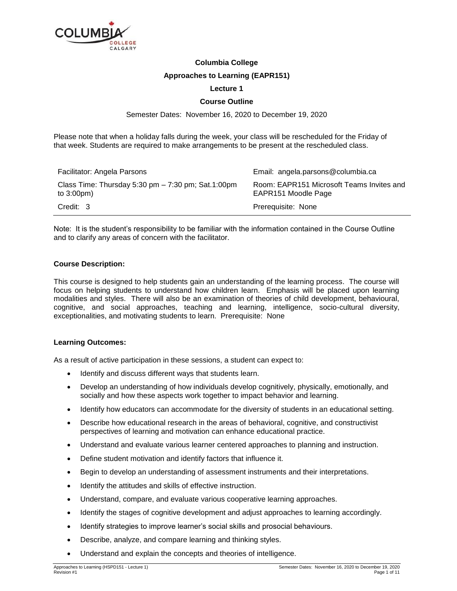

# **Columbia College**

## **Approaches to Learning (EAPR151)**

## **Lecture 1**

## **Course Outline**

Semester Dates: November 16, 2020 to December 19, 2020

Please note that when a holiday falls during the week, your class will be rescheduled for the Friday of that week. Students are required to make arrangements to be present at the rescheduled class.

| Facilitator: Angela Parsons                                                  | Email: angela.parsons@columbia.ca                                |
|------------------------------------------------------------------------------|------------------------------------------------------------------|
| Class Time: Thursday 5:30 pm $-7:30$ pm; Sat.1:00pm<br>to $3:00 \text{pm}$ ) | Room: EAPR151 Microsoft Teams Invites and<br>EAPR151 Moodle Page |
| Credit: 3                                                                    | Prerequisite: None                                               |

Note: It is the student's responsibility to be familiar with the information contained in the Course Outline and to clarify any areas of concern with the facilitator.

#### **Course Description:**

This course is designed to help students gain an understanding of the learning process. The course will focus on helping students to understand how children learn. Emphasis will be placed upon learning modalities and styles. There will also be an examination of theories of child development, behavioural, cognitive, and social approaches, teaching and learning, intelligence, socio-cultural diversity, exceptionalities, and motivating students to learn. Prerequisite: None

## **Learning Outcomes:**

As a result of active participation in these sessions, a student can expect to:

- Identify and discuss different ways that students learn.
- Develop an understanding of how individuals develop cognitively, physically, emotionally, and socially and how these aspects work together to impact behavior and learning.
- Identify how educators can accommodate for the diversity of students in an educational setting.
- Describe how educational research in the areas of behavioral, cognitive, and constructivist perspectives of learning and motivation can enhance educational practice.
- Understand and evaluate various learner centered approaches to planning and instruction.
- Define student motivation and identify factors that influence it.
- Begin to develop an understanding of assessment instruments and their interpretations.
- Identify the attitudes and skills of effective instruction.
- Understand, compare, and evaluate various cooperative learning approaches.
- Identify the stages of cognitive development and adjust approaches to learning accordingly.
- Identify strategies to improve learner's social skills and prosocial behaviours.
- Describe, analyze, and compare learning and thinking styles.
- Understand and explain the concepts and theories of intelligence.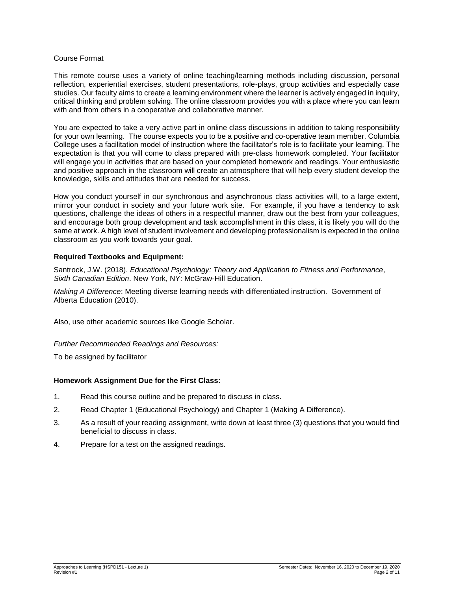#### Course Format

This remote course uses a variety of online teaching/learning methods including discussion, personal reflection, experiential exercises, student presentations, role-plays, group activities and especially case studies. Our faculty aims to create a learning environment where the learner is actively engaged in inquiry, critical thinking and problem solving. The online classroom provides you with a place where you can learn with and from others in a cooperative and collaborative manner.

You are expected to take a very active part in online class discussions in addition to taking responsibility for your own learning. The course expects you to be a positive and co-operative team member. Columbia College uses a facilitation model of instruction where the facilitator's role is to facilitate your learning. The expectation is that you will come to class prepared with pre-class homework completed. Your facilitator will engage you in activities that are based on your completed homework and readings. Your enthusiastic and positive approach in the classroom will create an atmosphere that will help every student develop the knowledge, skills and attitudes that are needed for success.

How you conduct yourself in our synchronous and asynchronous class activities will, to a large extent, mirror your conduct in society and your future work site. For example, if you have a tendency to ask questions, challenge the ideas of others in a respectful manner, draw out the best from your colleagues, and encourage both group development and task accomplishment in this class, it is likely you will do the same at work. A high level of student involvement and developing professionalism is expected in the online classroom as you work towards your goal.

#### **Required Textbooks and Equipment:**

Santrock, J.W. (2018). *Educational Psychology: Theory and Application to Fitness and Performance, Sixth Canadian Edition*. New York, NY: McGraw-Hill Education.

*Making A Difference*: Meeting diverse learning needs with differentiated instruction. Government of Alberta Education (2010).

Also, use other academic sources like Google Scholar.

*Further Recommended Readings and Resources:*

To be assigned by facilitator

#### **Homework Assignment Due for the First Class:**

- 1. Read this course outline and be prepared to discuss in class.
- 2. Read Chapter 1 (Educational Psychology) and Chapter 1 (Making A Difference).
- 3. As a result of your reading assignment, write down at least three (3) questions that you would find beneficial to discuss in class.
- 4. Prepare for a test on the assigned readings.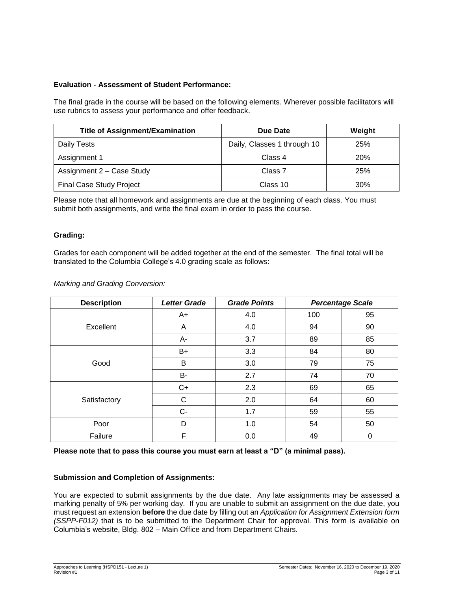## **Evaluation - Assessment of Student Performance:**

The final grade in the course will be based on the following elements. Wherever possible facilitators will use rubrics to assess your performance and offer feedback.

| <b>Title of Assignment/Examination</b> | Due Date                    | Weight |
|----------------------------------------|-----------------------------|--------|
| Daily Tests                            | Daily, Classes 1 through 10 | 25%    |
| Assignment 1                           | Class 4                     | 20%    |
| Assignment 2 - Case Study              | Class 7                     | 25%    |
| <b>Final Case Study Project</b>        | Class 10                    | 30%    |

Please note that all homework and assignments are due at the beginning of each class. You must submit both assignments, and write the final exam in order to pass the course.

#### **Grading:**

Grades for each component will be added together at the end of the semester. The final total will be translated to the Columbia College's 4.0 grading scale as follows:

#### *Marking and Grading Conversion:*

| <b>Description</b> | <b>Letter Grade</b> | <b>Grade Points</b> |     | <b>Percentage Scale</b> |
|--------------------|---------------------|---------------------|-----|-------------------------|
| Excellent          | $A+$                | 4.0                 | 100 | 95                      |
|                    | Α                   | 4.0                 | 94  | 90                      |
|                    | A-                  | 3.7                 | 89  | 85                      |
| Good               | B+                  | 3.3                 | 84  | 80                      |
|                    | B                   | 3.0                 | 79  | 75                      |
|                    | <b>B-</b>           | 2.7                 | 74  | 70                      |
| Satisfactory       | $C+$                | 2.3                 | 69  | 65                      |
|                    | C                   | 2.0                 | 64  | 60                      |
|                    | $C -$               | 1.7                 | 59  | 55                      |
| Poor               | D                   | 1.0                 | 54  | 50                      |
| Failure            | F                   | 0.0                 | 49  | 0                       |

**Please note that to pass this course you must earn at least a "D" (a minimal pass).**

#### **Submission and Completion of Assignments:**

You are expected to submit assignments by the due date. Any late assignments may be assessed a marking penalty of 5% per working day. If you are unable to submit an assignment on the due date, you must request an extension **before** the due date by filling out an *Application for Assignment Extension form (SSPP-F012)* that is to be submitted to the Department Chair for approval. This form is available on Columbia's website, Bldg. 802 – Main Office and from Department Chairs.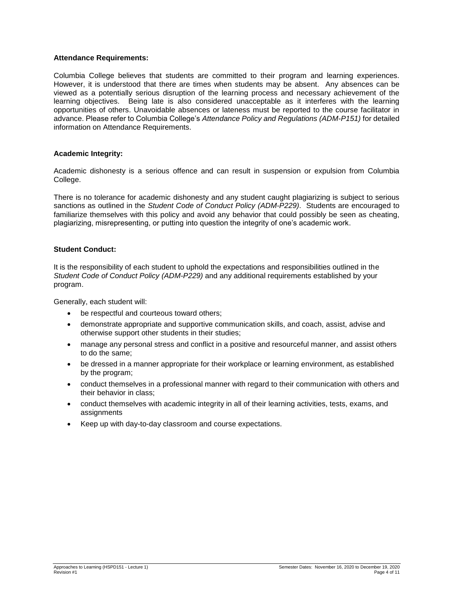#### **Attendance Requirements:**

Columbia College believes that students are committed to their program and learning experiences. However, it is understood that there are times when students may be absent. Any absences can be viewed as a potentially serious disruption of the learning process and necessary achievement of the learning objectives. Being late is also considered unacceptable as it interferes with the learning opportunities of others. Unavoidable absences or lateness must be reported to the course facilitator in advance. Please refer to Columbia College's *Attendance Policy and Regulations (ADM-P151)* for detailed information on Attendance Requirements.

#### **Academic Integrity:**

Academic dishonesty is a serious offence and can result in suspension or expulsion from Columbia College.

There is no tolerance for academic dishonesty and any student caught plagiarizing is subject to serious sanctions as outlined in the *Student Code of Conduct Policy (ADM-P229)*. Students are encouraged to familiarize themselves with this policy and avoid any behavior that could possibly be seen as cheating, plagiarizing, misrepresenting, or putting into question the integrity of one's academic work.

#### **Student Conduct:**

It is the responsibility of each student to uphold the expectations and responsibilities outlined in the *Student Code of Conduct Policy (ADM-P229)* and any additional requirements established by your program.

Generally, each student will:

- be respectful and courteous toward others:
- demonstrate appropriate and supportive communication skills, and coach, assist, advise and otherwise support other students in their studies;
- manage any personal stress and conflict in a positive and resourceful manner, and assist others to do the same;
- be dressed in a manner appropriate for their workplace or learning environment, as established by the program;
- conduct themselves in a professional manner with regard to their communication with others and their behavior in class;
- conduct themselves with academic integrity in all of their learning activities, tests, exams, and assignments
- Keep up with day-to-day classroom and course expectations.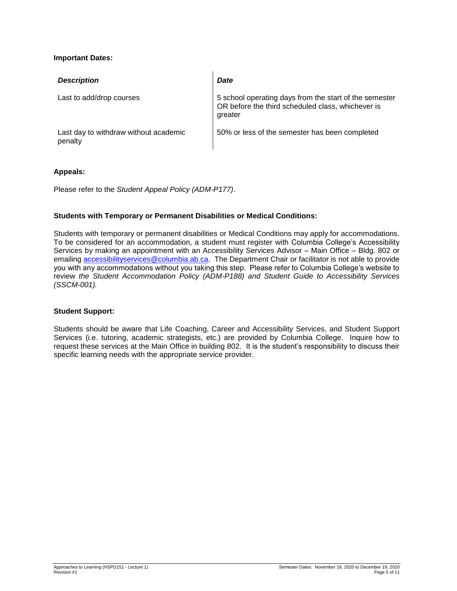## **Important Dates:**

| <b>Description</b>                               | <b>Date</b>                                                                                                            |
|--------------------------------------------------|------------------------------------------------------------------------------------------------------------------------|
| Last to add/drop courses                         | 5 school operating days from the start of the semester<br>OR before the third scheduled class, whichever is<br>greater |
| Last day to withdraw without academic<br>penalty | 50% or less of the semester has been completed                                                                         |

#### **Appeals:**

Please refer to the *Student Appeal Policy (ADM-P177)*.

## **Students with Temporary or Permanent Disabilities or Medical Conditions:**

Students with temporary or permanent disabilities or Medical Conditions may apply for accommodations. To be considered for an accommodation, a student must register with Columbia College's Accessibility Services by making an appointment with an Accessibility Services Advisor – Main Office – Bldg. 802 or emailing [accessibilityservices@columbia.ab.ca.](mailto:accessibilityservices@columbia.ab.ca) The Department Chair or facilitator is not able to provide you with any accommodations without you taking this step. Please refer to Columbia College's website to review *the Student Accommodation Policy (ADM-P188) and Student Guide to Accessibility Services (SSCM-001).*

#### **Student Support:**

Students should be aware that Life Coaching, Career and Accessibility Services, and Student Support Services (i.e. tutoring, academic strategists, etc.) are provided by Columbia College. Inquire how to request these services at the Main Office in building 802. It is the student's responsibility to discuss their specific learning needs with the appropriate service provider.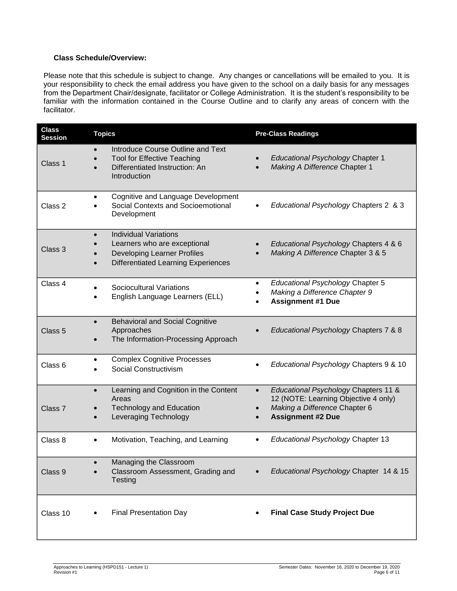## **Class Schedule/Overview:**

Please note that this schedule is subject to change. Any changes or cancellations will be emailed to you. It is your responsibility to check the email address you have given to the school on a daily basis for any messages from the Department Chair/designate, facilitator or College Administration. It is the student's responsibility to be familiar with the information contained in the Course Outline and to clarify any areas of concern with the facilitator.

| <b>Class</b><br><b>Session</b> | <b>Topics</b>                                                                                                                                                 | <b>Pre-Class Readings</b>                                                                                                                              |
|--------------------------------|---------------------------------------------------------------------------------------------------------------------------------------------------------------|--------------------------------------------------------------------------------------------------------------------------------------------------------|
| Class 1                        | Introduce Course Outline and Text<br><b>Tool for Effective Teaching</b><br>Differentiated Instruction: An<br>Introduction                                     | <b>Educational Psychology Chapter 1</b><br>Making A Difference Chapter 1                                                                               |
| Class 2                        | Cognitive and Language Development<br>Social Contexts and Socioemotional<br>Development                                                                       | Educational Psychology Chapters 2 & 3                                                                                                                  |
| Class 3                        | <b>Individual Variations</b><br>$\bullet$<br>Learners who are exceptional<br><b>Developing Learner Profiles</b><br><b>Differentiated Learning Experiences</b> | Educational Psychology Chapters 4 & 6<br>Making A Difference Chapter 3 & 5                                                                             |
| Class 4                        | <b>Sociocultural Variations</b><br>English Language Learners (ELL)                                                                                            | <b>Educational Psychology Chapter 5</b><br>٠<br>Making a Difference Chapter 9<br><b>Assignment #1 Due</b>                                              |
| Class <sub>5</sub>             | <b>Behavioral and Social Cognitive</b><br>$\bullet$<br>Approaches<br>The Information-Processing Approach                                                      | Educational Psychology Chapters 7 & 8                                                                                                                  |
| Class <sub>6</sub>             | <b>Complex Cognitive Processes</b><br>٠<br>Social Constructivism                                                                                              | Educational Psychology Chapters 9 & 10                                                                                                                 |
| Class <sub>7</sub>             | Learning and Cognition in the Content<br>$\bullet$<br>Areas<br><b>Technology and Education</b><br>Leveraging Technology                                       | Educational Psychology Chapters 11 &<br>$\bullet$<br>12 (NOTE: Learning Objective 4 only)<br>Making a Difference Chapter 6<br><b>Assignment #2 Due</b> |
| Class 8                        | Motivation, Teaching, and Learning<br>$\bullet$                                                                                                               | Educational Psychology Chapter 13<br>$\bullet$                                                                                                         |
| Class 9                        | Managing the Classroom<br>Classroom Assessment, Grading and<br>Testing                                                                                        | Educational Psychology Chapter 14 & 15                                                                                                                 |
| Class 10                       | <b>Final Presentation Day</b>                                                                                                                                 | <b>Final Case Study Project Due</b>                                                                                                                    |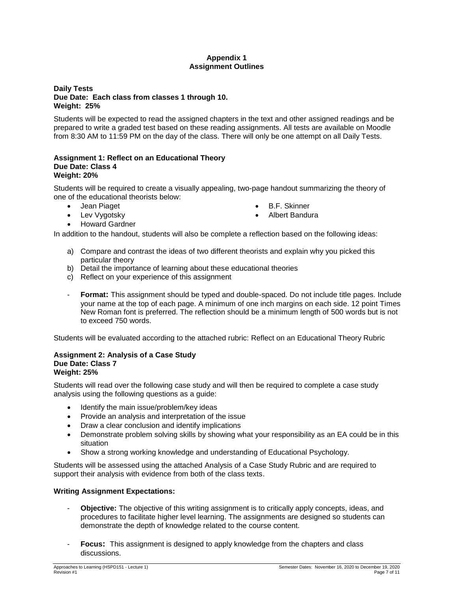## **Appendix 1 Assignment Outlines**

## **Daily Tests Due Date: Each class from classes 1 through 10. Weight: 25%**

Students will be expected to read the assigned chapters in the text and other assigned readings and be prepared to write a graded test based on these reading assignments. All tests are available on Moodle from 8:30 AM to 11:59 PM on the day of the class. There will only be one attempt on all Daily Tests.

#### **Assignment 1: Reflect on an Educational Theory Due Date: Class 4 Weight: 20%**

Students will be required to create a visually appealing, two-page handout summarizing the theory of one of the educational theorists below:

- Jean Piaget
- Lev Vygotsky
	-
- B.F. Skinner
- Albert Bandura

Howard Gardner

In addition to the handout, students will also be complete a reflection based on the following ideas:

- a) Compare and contrast the ideas of two different theorists and explain why you picked this particular theory
- b) Detail the importance of learning about these educational theories
- c) Reflect on your experience of this assignment
- **Format:** This assignment should be typed and double-spaced. Do not include title pages. Include your name at the top of each page. A minimum of one inch margins on each side. 12 point Times New Roman font is preferred. The reflection should be a minimum length of 500 words but is not to exceed 750 words.

Students will be evaluated according to the attached rubric: Reflect on an Educational Theory Rubric

#### **Assignment 2: Analysis of a Case Study Due Date: Class 7 Weight: 25%**

Students will read over the following case study and will then be required to complete a case study analysis using the following questions as a guide:

- Identify the main issue/problem/key ideas
- Provide an analysis and interpretation of the issue
- Draw a clear conclusion and identify implications
- Demonstrate problem solving skills by showing what your responsibility as an EA could be in this situation
- Show a strong working knowledge and understanding of Educational Psychology.

Students will be assessed using the attached Analysis of a Case Study Rubric and are required to support their analysis with evidence from both of the class texts.

## **Writing Assignment Expectations:**

- **Objective:** The objective of this writing assignment is to critically apply concepts, ideas, and procedures to facilitate higher level learning. The assignments are designed so students can demonstrate the depth of knowledge related to the course content.
- **Focus:** This assignment is designed to apply knowledge from the chapters and class discussions.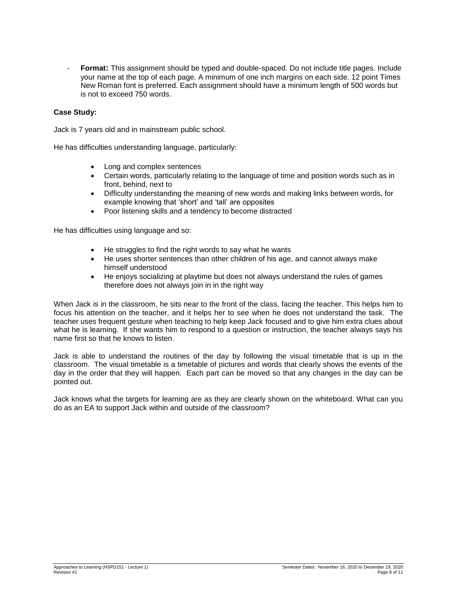- **Format:** This assignment should be typed and double-spaced. Do not include title pages. Include your name at the top of each page. A minimum of one inch margins on each side. 12 point Times New Roman font is preferred. Each assignment should have a minimum length of 500 words but is not to exceed 750 words.

#### **Case Study:**

Jack is 7 years old and in mainstream public school.

He has difficulties understanding language, particularly:

- Long and complex sentences
- Certain words, particularly relating to the language of time and position words such as in front, behind, next to
- Difficulty understanding the meaning of new words and making links between words, for example knowing that 'short' and 'tall' are opposites
- Poor listening skills and a tendency to become distracted

He has difficulties using language and so:

- He struggles to find the right words to say what he wants
- He uses shorter sentences than other children of his age, and cannot always make himself understood
- He enjoys socializing at playtime but does not always understand the rules of games therefore does not always join in in the right way

When Jack is in the classroom, he sits near to the front of the class, facing the teacher. This helps him to focus his attention on the teacher, and it helps her to see when he does not understand the task. The teacher uses frequent gesture when teaching to help keep Jack focused and to give him extra clues about what he is learning. If she wants him to respond to a question or instruction, the teacher always says his name first so that he knows to listen.

Jack is able to understand the routines of the day by following the visual timetable that is up in the classroom. The visual timetable is a timetable of pictures and words that clearly shows the events of the day in the order that they will happen. Each part can be moved so that any changes in the day can be pointed out.

Jack knows what the targets for learning are as they are clearly shown on the whiteboard. What can you do as an EA to support Jack within and outside of the classroom?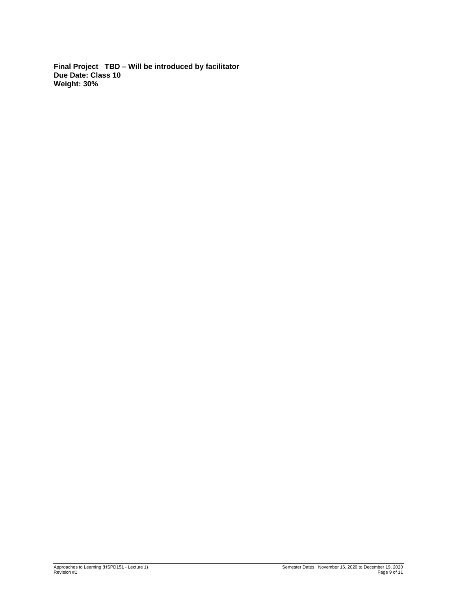**Final Project TBD – Will be introduced by facilitator Due Date: Class 10 Weight: 30%**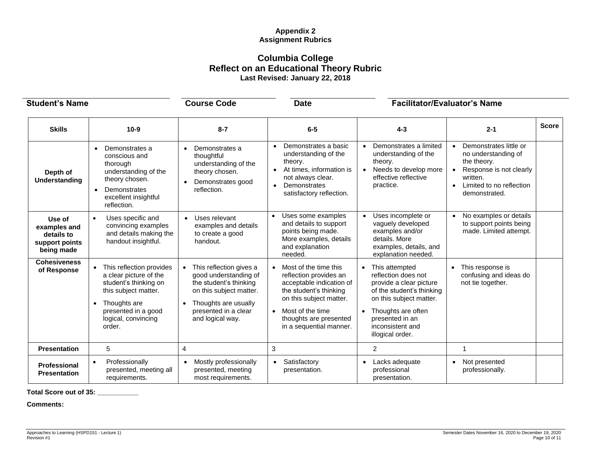## **Appendix 2 Assignment Rubrics**

# **Columbia College Reflect on an Educational Theory Rubric Last Revised: January 22, 2018**

| <b>Student's Name</b>                                                |                                                                                                                                                                                                       | <b>Course Code</b>                                                                                                                                                        | <b>Date</b>                                                                                                                                                                                                                         | <b>Facilitator/Evaluator's Name</b>                                                                                                                                                                       |                                                                                                                                                                            |              |
|----------------------------------------------------------------------|-------------------------------------------------------------------------------------------------------------------------------------------------------------------------------------------------------|---------------------------------------------------------------------------------------------------------------------------------------------------------------------------|-------------------------------------------------------------------------------------------------------------------------------------------------------------------------------------------------------------------------------------|-----------------------------------------------------------------------------------------------------------------------------------------------------------------------------------------------------------|----------------------------------------------------------------------------------------------------------------------------------------------------------------------------|--------------|
| <b>Skills</b>                                                        | $10 - 9$                                                                                                                                                                                              | $8 - 7$                                                                                                                                                                   | $6-5$                                                                                                                                                                                                                               | $4 - 3$                                                                                                                                                                                                   | $2 - 1$                                                                                                                                                                    | <b>Score</b> |
| Depth of<br>Understanding                                            | Demonstrates a<br>conscious and<br>thorough<br>understanding of the<br>theory chosen.<br>Demonstrates<br>$\bullet$<br>excellent insightful<br>reflection.                                             | Demonstrates a<br>thoughtful<br>understanding of the<br>theory chosen.<br>Demonstrates good<br>reflection.                                                                | Demonstrates a basic<br>$\bullet$<br>understanding of the<br>theory.<br>At times, information is<br>$\bullet$<br>not always clear.<br>Demonstrates<br>$\bullet$<br>satisfactory reflection.                                         | • Demonstrates a limited<br>understanding of the<br>theory.<br>Needs to develop more<br>effective reflective<br>practice.                                                                                 | Demonstrates little or<br>$\bullet$<br>no understanding of<br>the theory.<br>Response is not clearly<br>written.<br>Limited to no reflection<br>$\bullet$<br>demonstrated. |              |
| Use of<br>examples and<br>details to<br>support points<br>being made | Uses specific and<br>$\bullet$<br>convincing examples<br>and details making the<br>handout insightful.                                                                                                | Uses relevant<br>$\bullet$<br>examples and details<br>to create a good<br>handout.                                                                                        | Uses some examples<br>$\bullet$<br>and details to support<br>points being made.<br>More examples, details<br>and explanation<br>needed.                                                                                             | • Uses incomplete or<br>vaguely developed<br>examples and/or<br>details. More<br>examples, details, and<br>explanation needed.                                                                            | No examples or details<br>to support points being<br>made. Limited attempt.                                                                                                |              |
| <b>Cohesiveness</b><br>of Response                                   | This reflection provides<br>$\bullet$<br>a clear picture of the<br>student's thinking on<br>this subject matter.<br>Thoughts are<br>$\bullet$<br>presented in a good<br>logical, convincing<br>order. | This reflection gives a<br>good understanding of<br>the student's thinking<br>on this subject matter.<br>Thoughts are usually<br>presented in a clear<br>and logical way. | Most of the time this<br>$\bullet$<br>reflection provides an<br>acceptable indication of<br>the student's thinking<br>on this subject matter.<br>Most of the time<br>$\bullet$<br>thoughts are presented<br>in a sequential manner. | This attempted<br>reflection does not<br>provide a clear picture<br>of the student's thinking<br>on this subject matter.<br>Thoughts are often<br>presented in an<br>inconsistent and<br>illogical order. | This response is<br>$\bullet$<br>confusing and ideas do<br>not tie together.                                                                                               |              |
| <b>Presentation</b>                                                  | 5                                                                                                                                                                                                     | 4                                                                                                                                                                         | 3                                                                                                                                                                                                                                   | $\overline{2}$                                                                                                                                                                                            | 1                                                                                                                                                                          |              |
| Professional<br><b>Presentation</b>                                  | Professionally<br>$\bullet$<br>presented, meeting all<br>requirements.                                                                                                                                | Mostly professionally<br>$\bullet$<br>presented, meeting<br>most requirements.                                                                                            | Satisfactory<br>$\bullet$<br>presentation.                                                                                                                                                                                          | • Lacks adequate<br>professional<br>presentation.                                                                                                                                                         | Not presented<br>$\bullet$<br>professionally.                                                                                                                              |              |

**Total Score out of 35: \_\_\_\_\_\_\_\_\_\_\_**

**Comments:**